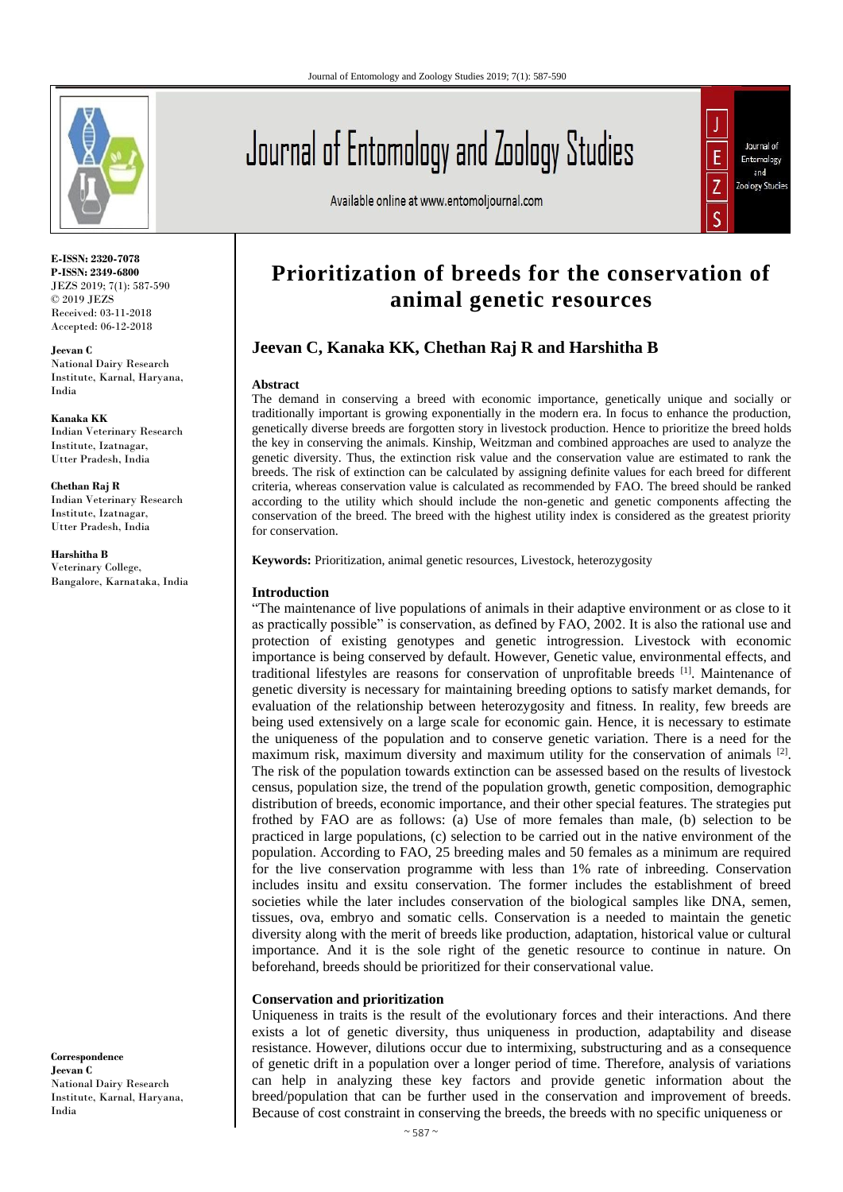

**E-ISSN: 2320-7078 P-ISSN: 2349-6800** JEZS 2019; 7(1): 587-590 © 2019 JEZS Received: 03-11-2018 Accepted: 06-12-2018

**Jeevan C** National Dairy Research Institute, Karnal, Haryana, India

**Kanaka KK** Indian Veterinary Research Institute, Izatnagar, Utter Pradesh, India

**Chethan Raj R**  Indian Veterinary Research Institute, Izatnagar, Utter Pradesh, India

**Harshitha B** Veterinary College, Bangalore, Karnataka, India

**Correspondence Jeevan C** National Dairy Research Institute, Karnal, Haryana, India

# Journal of Entomology and Zoology Studies

Available online at www.entomoljournal.com



## **Prioritization of breeds for the conservation of animal genetic resources**

### **Jeevan C, Kanaka KK, Chethan Raj R and Harshitha B**

#### **Abstract**

The demand in conserving a breed with economic importance, genetically unique and socially or traditionally important is growing exponentially in the modern era. In focus to enhance the production, genetically diverse breeds are forgotten story in livestock production. Hence to prioritize the breed holds the key in conserving the animals. Kinship, Weitzman and combined approaches are used to analyze the genetic diversity. Thus, the extinction risk value and the conservation value are estimated to rank the breeds. The risk of extinction can be calculated by assigning definite values for each breed for different criteria, whereas conservation value is calculated as recommended by FAO. The breed should be ranked according to the utility which should include the non-genetic and genetic components affecting the conservation of the breed. The breed with the highest utility index is considered as the greatest priority for conservation.

**Keywords:** Prioritization, animal genetic resources, Livestock, heterozygosity

#### **Introduction**

"The maintenance of live populations of animals in their adaptive environment or as close to it as practically possible" is conservation, as defined by FAO, 2002. It is also the rational use and protection of existing genotypes and genetic introgression. Livestock with economic importance is being conserved by default. However, Genetic value, environmental effects, and traditional lifestyles are reasons for conservation of unprofitable breeds [1]. Maintenance of genetic diversity is necessary for maintaining breeding options to satisfy market demands, for evaluation of the relationship between heterozygosity and fitness. In reality, few breeds are being used extensively on a large scale for economic gain. Hence, it is necessary to estimate the uniqueness of the population and to conserve genetic variation. There is a need for the maximum risk, maximum diversity and maximum utility for the conservation of animals <sup>[2]</sup>. The risk of the population towards extinction can be assessed based on the results of livestock census, population size, the trend of the population growth, genetic composition, demographic distribution of breeds, economic importance, and their other special features. The strategies put frothed by FAO are as follows: (a) Use of more females than male, (b) selection to be practiced in large populations, (c) selection to be carried out in the native environment of the population. According to FAO, 25 breeding males and 50 females as a minimum are required for the live conservation programme with less than 1% rate of inbreeding. Conservation includes insitu and exsitu conservation. The former includes the establishment of breed societies while the later includes conservation of the biological samples like DNA, semen, tissues, ova, embryo and somatic cells. Conservation is a needed to maintain the genetic diversity along with the merit of breeds like production, adaptation, historical value or cultural importance. And it is the sole right of the genetic resource to continue in nature. On beforehand, breeds should be prioritized for their conservational value.

#### **Conservation and prioritization**

Uniqueness in traits is the result of the evolutionary forces and their interactions. And there exists a lot of genetic diversity, thus uniqueness in production, adaptability and disease resistance. However, dilutions occur due to intermixing, substructuring and as a consequence of genetic drift in a population over a longer period of time. Therefore, analysis of variations can help in analyzing these key factors and provide genetic information about the breed/population that can be further used in the conservation and improvement of breeds. Because of cost constraint in conserving the breeds, the breeds with no specific uniqueness or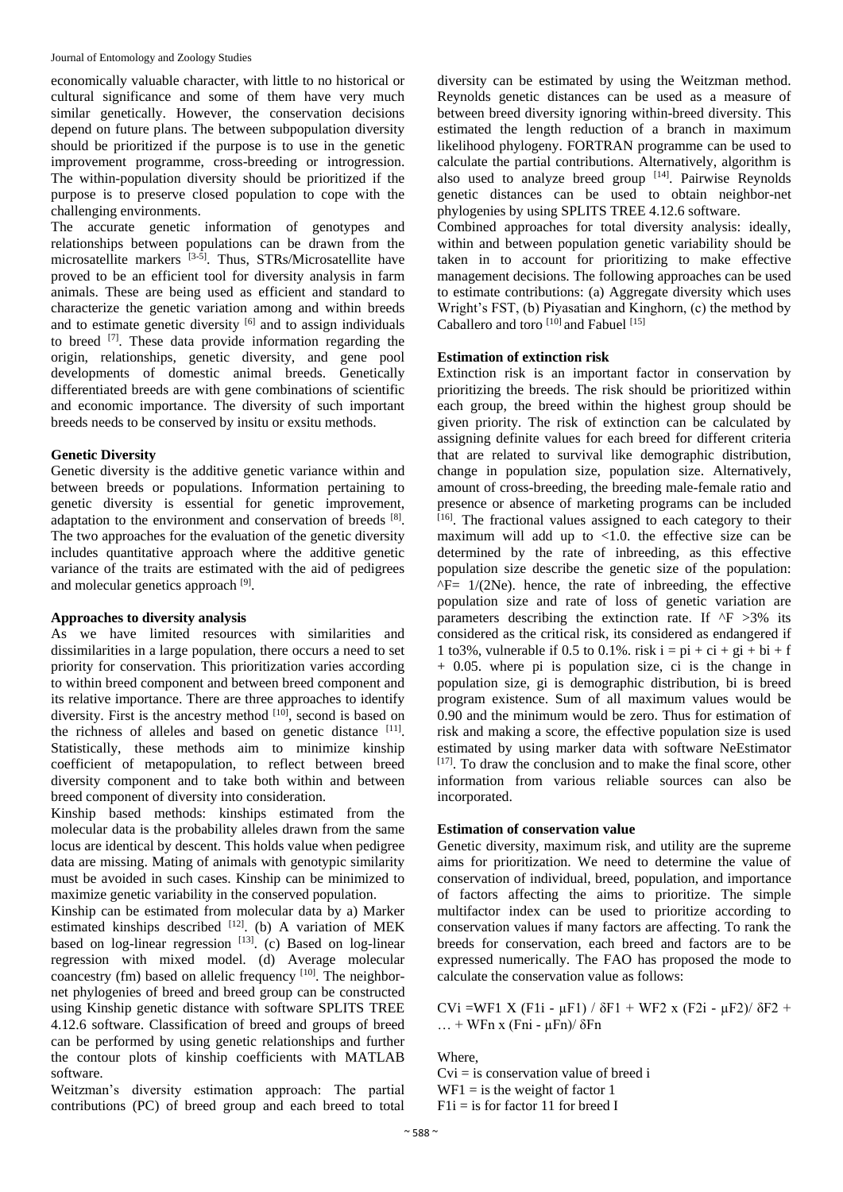economically valuable character, with little to no historical or cultural significance and some of them have very much similar genetically. However, the conservation decisions depend on future plans. The between subpopulation diversity should be prioritized if the purpose is to use in the genetic improvement programme, cross-breeding or introgression. The within-population diversity should be prioritized if the purpose is to preserve closed population to cope with the challenging environments.

The accurate genetic information of genotypes and relationships between populations can be drawn from the microsatellite markers [3-5]. Thus, STRs/Microsatellite have proved to be an efficient tool for diversity analysis in farm animals. These are being used as efficient and standard to characterize the genetic variation among and within breeds and to estimate genetic diversity  $[6]$  and to assign individuals to breed [7]. These data provide information regarding the origin, relationships, genetic diversity, and gene pool developments of domestic animal breeds. Genetically differentiated breeds are with gene combinations of scientific and economic importance. The diversity of such important breeds needs to be conserved by insitu or exsitu methods.

#### **Genetic Diversity**

Genetic diversity is the additive genetic variance within and between breeds or populations. Information pertaining to genetic diversity is essential for genetic improvement, adaptation to the environment and conservation of breeds [8]. The two approaches for the evaluation of the genetic diversity includes quantitative approach where the additive genetic variance of the traits are estimated with the aid of pedigrees and molecular genetics approach [9].

#### **Approaches to diversity analysis**

As we have limited resources with similarities and dissimilarities in a large population, there occurs a need to set priority for conservation. This prioritization varies according to within breed component and between breed component and its relative importance. There are three approaches to identify diversity. First is the ancestry method  $[10]$ , second is based on the richness of alleles and based on genetic distance [11]. Statistically, these methods aim to minimize kinship coefficient of metapopulation, to reflect between breed diversity component and to take both within and between breed component of diversity into consideration.

Kinship based methods: kinships estimated from the molecular data is the probability alleles drawn from the same locus are identical by descent. This holds value when pedigree data are missing. Mating of animals with genotypic similarity must be avoided in such cases. Kinship can be minimized to maximize genetic variability in the conserved population.

Kinship can be estimated from molecular data by a) Marker estimated kinships described [12]. (b) A variation of MEK based on log-linear regression  $[13]$ . (c) Based on log-linear regression with mixed model. (d) Average molecular coancestry (fm) based on allelic frequency <sup>[10]</sup>. The neighbornet phylogenies of breed and breed group can be constructed using Kinship genetic distance with software SPLITS TREE 4.12.6 software. Classification of breed and groups of breed can be performed by using genetic relationships and further the contour plots of kinship coefficients with MATLAB software.

Weitzman's diversity estimation approach: The partial contributions (PC) of breed group and each breed to total

diversity can be estimated by using the Weitzman method. Reynolds genetic distances can be used as a measure of between breed diversity ignoring within-breed diversity. This estimated the length reduction of a branch in maximum likelihood phylogeny. FORTRAN programme can be used to calculate the partial contributions. Alternatively, algorithm is also used to analyze breed group  $[14]$ . Pairwise Reynolds genetic distances can be used to obtain neighbor-net phylogenies by using SPLITS TREE 4.12.6 software.

Combined approaches for total diversity analysis: ideally, within and between population genetic variability should be taken in to account for prioritizing to make effective management decisions. The following approaches can be used to estimate contributions: (a) Aggregate diversity which uses Wright's FST, (b) Piyasatian and Kinghorn, (c) the method by Caballero and toro <sup>[10]</sup> and Fabuel <sup>[15]</sup>

#### **Estimation of extinction risk**

Extinction risk is an important factor in conservation by prioritizing the breeds. The risk should be prioritized within each group, the breed within the highest group should be given priority. The risk of extinction can be calculated by assigning definite values for each breed for different criteria that are related to survival like demographic distribution, change in population size, population size. Alternatively, amount of cross-breeding, the breeding male-female ratio and presence or absence of marketing programs can be included [16]. The fractional values assigned to each category to their maximum will add up to  $\langle 1.0 \rangle$  the effective size can be determined by the rate of inbreeding, as this effective population size describe the genetic size of the population:  $\overline{F}$ = 1/(2Ne). hence, the rate of inbreeding, the effective population size and rate of loss of genetic variation are parameters describing the extinction rate. If  $\Delta F > 3\%$  its considered as the critical risk, its considered as endangered if 1 to 3%, vulnerable if 0.5 to 0.1%. risk  $i = pi + ci + gi + bi + f$ + 0.05. where pi is population size, ci is the change in population size, gi is demographic distribution, bi is breed program existence. Sum of all maximum values would be 0.90 and the minimum would be zero. Thus for estimation of risk and making a score, the effective population size is used estimated by using marker data with software NeEstimator  $[17]$ . To draw the conclusion and to make the final score, other information from various reliable sources can also be incorporated.

#### **Estimation of conservation value**

Genetic diversity, maximum risk, and utility are the supreme aims for prioritization. We need to determine the value of conservation of individual, breed, population, and importance of factors affecting the aims to prioritize. The simple multifactor index can be used to prioritize according to conservation values if many factors are affecting. To rank the breeds for conservation, each breed and factors are to be expressed numerically. The FAO has proposed the mode to calculate the conservation value as follows:

CVi =WF1 X (F1i - μF1) /  $\delta$ F1 + WF2 x (F2i - μF2)/  $\delta$ F2 +  $...$  + WFn x (Fni -  $\mu$ Fn)/  $\delta$ Fn

Where,

 $Cvi = is conservation value of breed i$  $WF1 =$  is the weight of factor 1  $F1i = is$  for factor 11 for breed I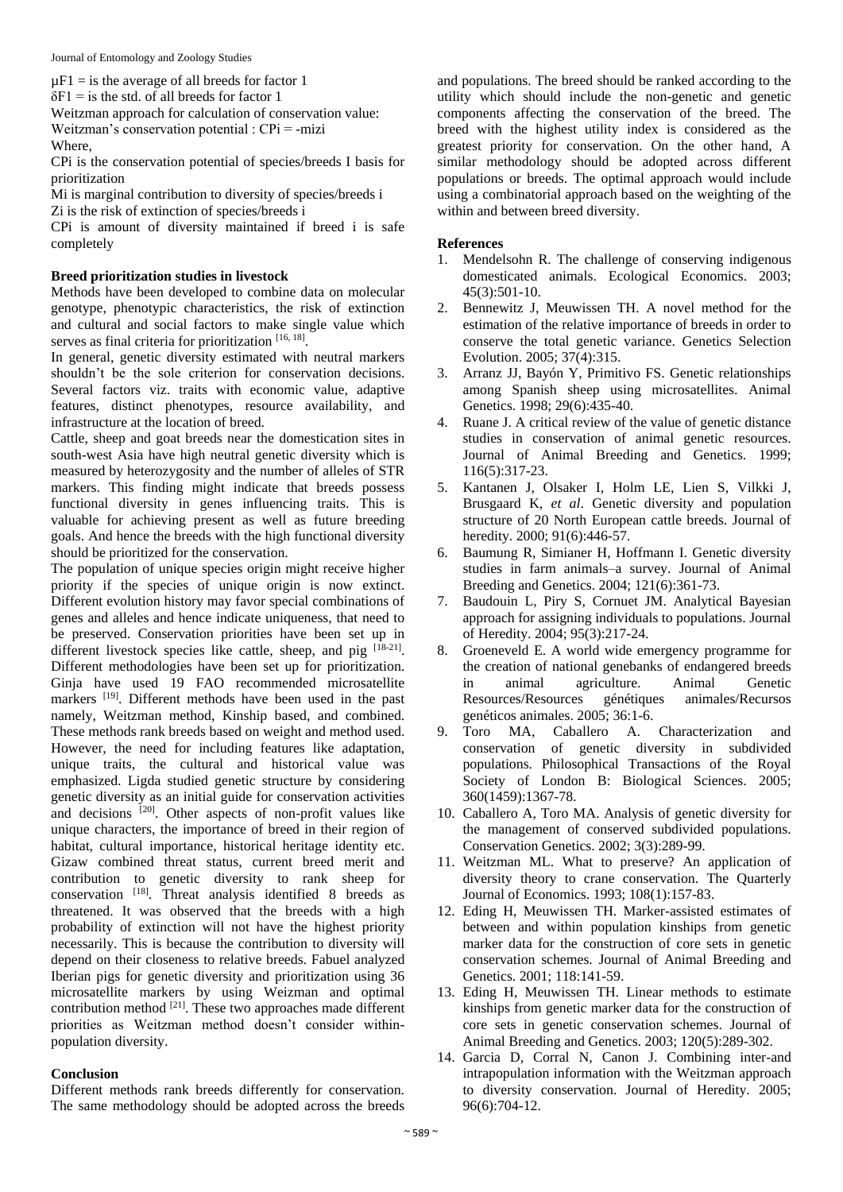$\mu$ F1 = is the average of all breeds for factor 1

 $\delta F1$  = is the std. of all breeds for factor 1

Weitzman approach for calculation of conservation value: Weitzman's conservation potential : CPi = -mizi Where,

CPi is the conservation potential of species/breeds I basis for prioritization

Mi is marginal contribution to diversity of species/breeds i

Zi is the risk of extinction of species/breeds i

CPi is amount of diversity maintained if breed i is safe completely

#### **Breed prioritization studies in livestock**

Methods have been developed to combine data on molecular genotype, phenotypic characteristics, the risk of extinction and cultural and social factors to make single value which serves as final criteria for prioritization [16, 18].

In general, genetic diversity estimated with neutral markers shouldn't be the sole criterion for conservation decisions. Several factors viz. traits with economic value, adaptive features, distinct phenotypes, resource availability, and infrastructure at the location of breed.

Cattle, sheep and goat breeds near the domestication sites in south-west Asia have high neutral genetic diversity which is measured by heterozygosity and the number of alleles of STR markers. This finding might indicate that breeds possess functional diversity in genes influencing traits. This is valuable for achieving present as well as future breeding goals. And hence the breeds with the high functional diversity should be prioritized for the conservation.

The population of unique species origin might receive higher priority if the species of unique origin is now extinct. Different evolution history may favor special combinations of genes and alleles and hence indicate uniqueness, that need to be preserved. Conservation priorities have been set up in different livestock species like cattle, sheep, and pig [18-21]. Different methodologies have been set up for prioritization. Ginja have used 19 FAO recommended microsatellite markers <sup>[19]</sup>. Different methods have been used in the past namely, Weitzman method, Kinship based, and combined. These methods rank breeds based on weight and method used. However, the need for including features like adaptation, unique traits, the cultural and historical value was emphasized. Ligda studied genetic structure by considering genetic diversity as an initial guide for conservation activities and decisions [20]. Other aspects of non-profit values like unique characters, the importance of breed in their region of habitat, cultural importance, historical heritage identity etc. Gizaw combined threat status, current breed merit and contribution to genetic diversity to rank sheep for conservation [18]. Threat analysis identified 8 breeds as threatened. It was observed that the breeds with a high probability of extinction will not have the highest priority necessarily. This is because the contribution to diversity will depend on their closeness to relative breeds. Fabuel analyzed Iberian pigs for genetic diversity and prioritization using 36 microsatellite markers by using Weizman and optimal contribution method  $^{[21]}$ . These two approaches made different priorities as Weitzman method doesn't consider withinpopulation diversity.

#### **Conclusion**

Different methods rank breeds differently for conservation. The same methodology should be adopted across the breeds

and populations. The breed should be ranked according to the utility which should include the non-genetic and genetic components affecting the conservation of the breed. The breed with the highest utility index is considered as the greatest priority for conservation. On the other hand, A similar methodology should be adopted across different populations or breeds. The optimal approach would include using a combinatorial approach based on the weighting of the within and between breed diversity.

#### **References**

- 1. Mendelsohn R. The challenge of conserving indigenous domesticated animals. Ecological Economics. 2003; 45(3):501-10.
- 2. Bennewitz J, Meuwissen TH. A novel method for the estimation of the relative importance of breeds in order to conserve the total genetic variance. Genetics Selection Evolution. 2005; 37(4):315.
- 3. Arranz JJ, Bayón Y, Primitivo FS. Genetic relationships among Spanish sheep using microsatellites. Animal Genetics. 1998; 29(6):435-40.
- 4. Ruane J. A critical review of the value of genetic distance studies in conservation of animal genetic resources. Journal of Animal Breeding and Genetics. 1999; 116(5):317-23.
- 5. Kantanen J, Olsaker I, Holm LE, Lien S, Vilkki J, Brusgaard K, *et al*. Genetic diversity and population structure of 20 North European cattle breeds. Journal of heredity. 2000; 91(6):446-57.
- 6. Baumung R, Simianer H, Hoffmann I. Genetic diversity studies in farm animals–a survey. Journal of Animal Breeding and Genetics. 2004; 121(6):361-73.
- 7. Baudouin L, Piry S, Cornuet JM. Analytical Bayesian approach for assigning individuals to populations. Journal of Heredity. 2004; 95(3):217-24.
- 8. Groeneveld E. A world wide emergency programme for the creation of national genebanks of endangered breeds in animal agriculture. Animal Genetic Resources/Resources génétiques animales/Recursos genéticos animales. 2005; 36:1-6.
- 9. Toro MA, Caballero A. Characterization and conservation of genetic diversity in subdivided populations. Philosophical Transactions of the Royal Society of London B: Biological Sciences. 2005; 360(1459):1367-78.
- 10. Caballero A, Toro MA. Analysis of genetic diversity for the management of conserved subdivided populations. Conservation Genetics. 2002; 3(3):289-99.
- 11. Weitzman ML. What to preserve? An application of diversity theory to crane conservation. The Quarterly Journal of Economics. 1993; 108(1):157-83.
- 12. Eding H, Meuwissen TH. Marker-assisted estimates of between and within population kinships from genetic marker data for the construction of core sets in genetic conservation schemes. Journal of Animal Breeding and Genetics. 2001; 118:141-59.
- 13. Eding H, Meuwissen TH. Linear methods to estimate kinships from genetic marker data for the construction of core sets in genetic conservation schemes. Journal of Animal Breeding and Genetics. 2003; 120(5):289-302.
- 14. Garcia D, Corral N, Canon J. Combining inter-and intrapopulation information with the Weitzman approach to diversity conservation. Journal of Heredity. 2005; 96(6):704-12.